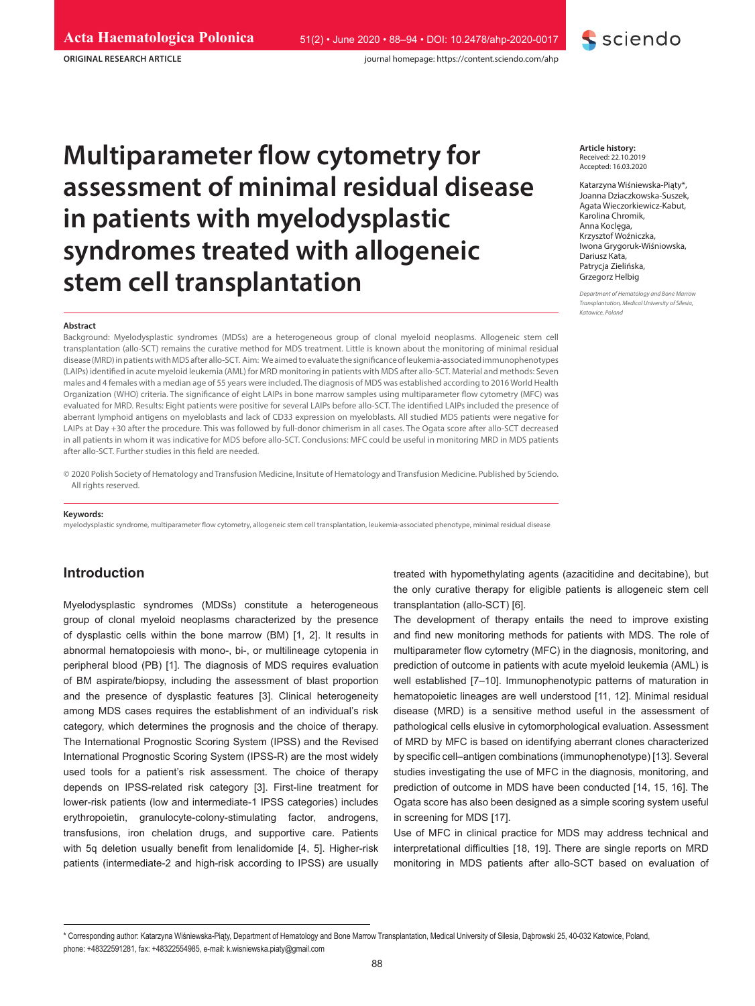**ORIGINAL RESEARCH ARTICLE**

journal homepage: https://content.sciendo.com/ahp

# **Multiparameter flow cytometry for assessment of minimal residual disease in patients with myelodysplastic syndromes treated with allogeneic stem cell transplantation** *Stem Cell transplantation <b>S Grzegorz Helbig*

#### **Abstract**

Background: Myelodysplastic syndromes (MDSs) are a heterogeneous group of clonal myeloid neoplasms. Allogeneic stem cell transplantation (allo-SCT) remains the curative method for MDS treatment. Little is known about the monitoring of minimal residual disease (MRD) in patients with MDS after allo-SCT. Aim: We aimed to evaluate the significance of leukemia-associated immunophenotypes (LAIPs) identified in acute myeloid leukemia (AML) for MRD monitoring in patients with MDS after allo-SCT. Material and methods: Seven males and 4 females with a median age of 55 years were included. The diagnosis of MDS was established according to 2016 World Health Organization (WHO) criteria. The significance of eight LAIPs in bone marrow samples using multiparameter flow cytometry (MFC) was evaluated for MRD. Results: Eight patients were positive for several LAIPs before allo-SCT. The identified LAIPs included the presence of aberrant lymphoid antigens on myeloblasts and lack of CD33 expression on myeloblasts. All studied MDS patients were negative for LAIPs at Day +30 after the procedure. This was followed by full-donor chimerism in all cases. The Ogata score after allo-SCT decreased in all patients in whom it was indicative for MDS before allo-SCT. Conclusions: MFC could be useful in monitoring MRD in MDS patients after allo-SCT. Further studies in this field are needed.

© 2020 Polish Society of Hematology and Transfusion Medicine, Insitute of Hematology and Transfusion Medicine. Published by Sciendo. All rights reserved.

#### **Keywords:**

myelodysplastic syndrome, multiparameter flow cytometry, allogeneic stem cell transplantation, leukemia-associated phenotype, minimal residual disease

# **Introduction**

Myelodysplastic syndromes (MDSs) constitute a heterogeneous group of clonal myeloid neoplasms characterized by the presence of dysplastic cells within the bone marrow (BM) [1, 2]. It results in abnormal hematopoiesis with mono-, bi-, or multilineage cytopenia in peripheral blood (PB) [1]. The diagnosis of MDS requires evaluation of BM aspirate/biopsy, including the assessment of blast proportion and the presence of dysplastic features [3]. Clinical heterogeneity among MDS cases requires the establishment of an individual's risk category, which determines the prognosis and the choice of therapy. The International Prognostic Scoring System (IPSS) and the Revised International Prognostic Scoring System (IPSS-R) are the most widely used tools for a patient's risk assessment. The choice of therapy depends on IPSS-related risk category [3]. First-line treatment for lower-risk patients (low and intermediate-1 IPSS categories) includes erythropoietin, granulocyte-colony-stimulating factor, androgens, transfusions, iron chelation drugs, and supportive care. Patients with 5q deletion usually benefit from lenalidomide [4, 5]. Higher-risk patients (intermediate-2 and high-risk according to IPSS) are usually

**Article history:** Received: 22.10.2019 Accepted: 16.03.2020

**S** sciendo

Katarzyna Wiśniewska-Piąty\*, Joanna Dziaczkowska-Suszek, Agata Wieczorkiewicz-Kabut, Karolina Chromik, Anna Koclęga, Krzysztof Woźniczka, Iwona Grygoruk-Wiśniowska, Dariusz Kata, Patrycja Zielińska, Grzegorz Helbig

*Transplantation, Medical University of Silesia, Katowice, Poland*

treated with hypomethylating agents (azacitidine and decitabine), but the only curative therapy for eligible patients is allogeneic stem cell transplantation (allo-SCT) [6].

The development of therapy entails the need to improve existing and find new monitoring methods for patients with MDS. The role of multiparameter flow cytometry (MFC) in the diagnosis, monitoring, and prediction of outcome in patients with acute myeloid leukemia (AML) is well established [7–10]. Immunophenotypic patterns of maturation in hematopoietic lineages are well understood [11, 12]. Minimal residual disease (MRD) is a sensitive method useful in the assessment of pathological cells elusive in cytomorphological evaluation. Assessment of MRD by MFC is based on identifying aberrant clones characterized by specific cell–antigen combinations (immunophenotype) [13]. Several studies investigating the use of MFC in the diagnosis, monitoring, and prediction of outcome in MDS have been conducted [14, 15, 16]. The Ogata score has also been designed as a simple scoring system useful in screening for MDS [17].

Use of MFC in clinical practice for MDS may address technical and interpretational difficulties [18, 19]. There are single reports on MRD monitoring in MDS patients after allo-SCT based on evaluation of

<sup>\*</sup> Corresponding author: Katarzyna Wiśniewska-Piąty, Department of Hematology and Bone Marrow Transplantation, Medical University of Silesia, Dąbrowski 25, 40-032 Katowice, Poland, phone: +48322591281, fax: +48322554985, e-mail: k.wisniewska.piaty@gmail.com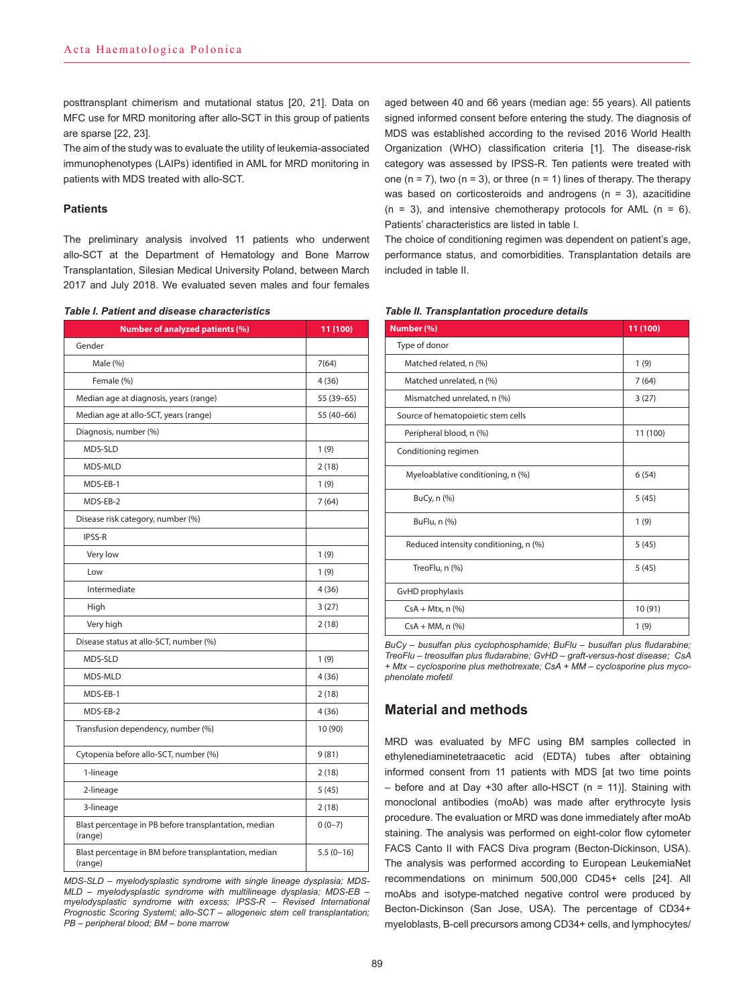posttransplant chimerism and mutational status [20, 21]. Data on MFC use for MRD monitoring after allo-SCT in this group of patients are sparse [22, 23].

The aim of the study was to evaluate the utility of leukemia-associated immunophenotypes (LAIPs) identified in AML for MRD monitoring in patients with MDS treated with allo-SCT.

### **Patients**

The preliminary analysis involved 11 patients who underwent allo-SCT at the Department of Hematology and Bone Marrow Transplantation, Silesian Medical University Poland, between March 2017 and July 2018. We evaluated seven males and four females

| <b>Number of analyzed patients (%)</b>                           | 11 (100)    |
|------------------------------------------------------------------|-------------|
| Gender                                                           |             |
| Male (%)                                                         | 7(64)       |
| Female (%)                                                       | 4(36)       |
| Median age at diagnosis, years (range)                           | 55 (39-65)  |
| Median age at allo-SCT, years (range)                            | 55 (40-66)  |
| Diagnosis, number (%)                                            |             |
| MDS-SLD                                                          | 1(9)        |
| MDS-MLD                                                          | 2(18)       |
| MDS-EB-1                                                         | 1(9)        |
| MDS-EB-2                                                         | 7(64)       |
| Disease risk category, number (%)                                |             |
| <b>IPSS-R</b>                                                    |             |
| Very low                                                         | 1(9)        |
| Low                                                              | 1(9)        |
| Intermediate                                                     | 4(36)       |
| High                                                             | 3(27)       |
| Very high                                                        | 2(18)       |
| Disease status at allo-SCT, number (%)                           |             |
| MDS-SLD                                                          | 1(9)        |
| MDS-MLD                                                          | 4 (36)      |
| MDS-EB-1                                                         | 2(18)       |
| MDS-EB-2                                                         | 4 (36)      |
| Transfusion dependency, number (%)                               | 10 (90)     |
| Cytopenia before allo-SCT, number (%)                            | 9(81)       |
| 1-lineage                                                        | 2(18)       |
| 2-lineage                                                        | 5(45)       |
| 3-lineage                                                        | 2(18)       |
| Blast percentage in PB before transplantation, median<br>(range) | $0(0-7)$    |
| Blast percentage in BM before transplantation, median<br>(range) | $5.5(0-16)$ |

*MDS-SLD – myelodysplastic syndrome with single lineage dysplasia; MDS-MLD – myelodysplastic syndrome with multilineage dysplasia; MDS-EB – myelodysplastic syndrome with excess; IPSS-R – Revised International Prognostic Scoring Systeml; allo-SCT – allogeneic stem cell transplantation; PB – peripheral blood; BM – bone marrow*

aged between 40 and 66 years (median age: 55 years). All patients signed informed consent before entering the study. The diagnosis of MDS was established according to the revised 2016 World Health Organization (WHO) classification criteria [1]. The disease-risk category was assessed by IPSS-R. Ten patients were treated with one (n = 7), two (n = 3), or three (n = 1) lines of therapy. The therapy was based on corticosteroids and androgens ( $n = 3$ ), azacitidine  $(n = 3)$ , and intensive chemotherapy protocols for AML  $(n = 6)$ . Patients' characteristics are listed in table I.

The choice of conditioning regimen was dependent on patient's age, performance status, and comorbidities. Transplantation details are included in table II.

| 11 (100) |  |  |
|----------|--|--|
|          |  |  |
| 1(9)     |  |  |
| 7(64)    |  |  |
| 3(27)    |  |  |
|          |  |  |
| 11 (100) |  |  |
|          |  |  |
| 6(54)    |  |  |
| 5(45)    |  |  |
| 1(9)     |  |  |
| 5(45)    |  |  |
| 5(45)    |  |  |
|          |  |  |
| 10(91)   |  |  |
| 1(9)     |  |  |
|          |  |  |

*Table II. Transplantation procedure details*

*BuCy – busulfan plus cyclophosphamide; BuFlu – busulfan plus fludarabine; TreoFlu – treosulfan plus fludarabine; GvHD – graft-versus-host disease; CsA + Mtx – cyclosporine plus methotrexate; CsA + MM – cyclosporine plus mycophenolate mofetil* 

# **Material and methods**

MRD was evaluated by MFC using BM samples collected in ethylenediaminetetraacetic acid (EDTA) tubes after obtaining informed consent from 11 patients with MDS [at two time points  $-$  before and at Day +30 after allo-HSCT (n = 11)]. Staining with monoclonal antibodies (moAb) was made after erythrocyte lysis procedure. The evaluation or MRD was done immediately after moAb staining. The analysis was performed on eight-color flow cytometer FACS Canto II with FACS Diva program (Becton-Dickinson, USA). The analysis was performed according to European LeukemiaNet recommendations on minimum 500,000 CD45+ cells [24]. All moAbs and isotype-matched negative control were produced by Becton-Dickinson (San Jose, USA). The percentage of CD34+ myeloblasts, B-cell precursors among CD34+ cells, and lymphocytes/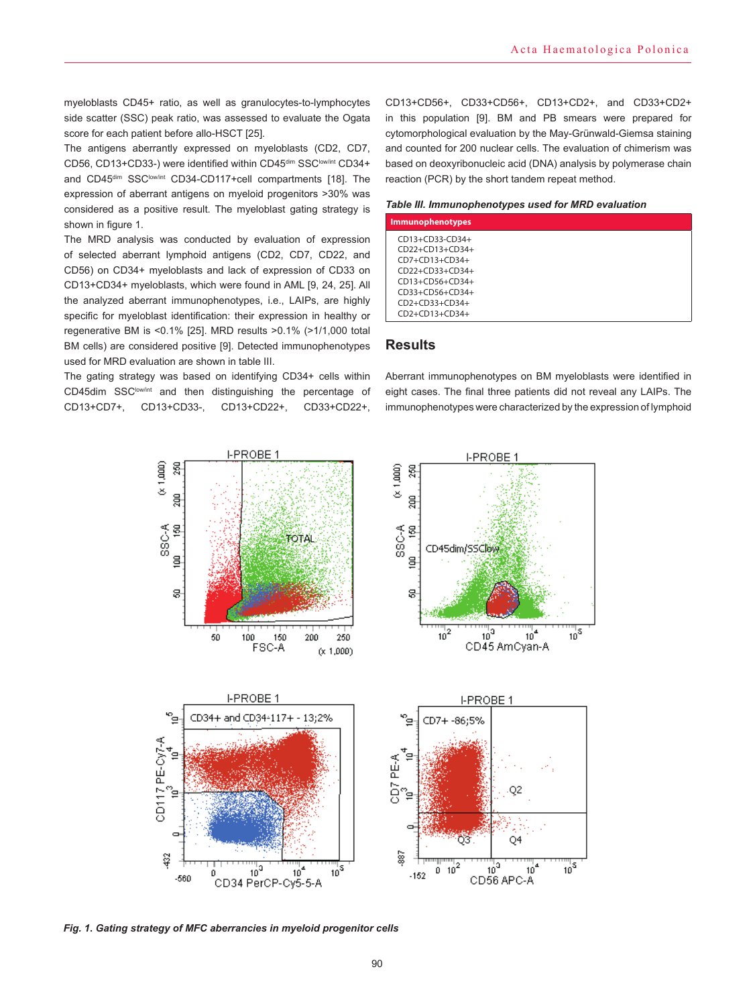myeloblasts CD45+ ratio, as well as granulocytes-to-lymphocytes side scatter (SSC) peak ratio, was assessed to evaluate the Ogata score for each patient before allo-HSCT [25].

The antigens aberrantly expressed on myeloblasts (CD2, CD7, CD56, CD13+CD33-) were identified within CD45<sup>dim</sup> SSC<sup>low/int</sup> CD34+ and CD45<sup>dim</sup> SSC<sup>low/int</sup> CD34-CD117+cell compartments [18]. The expression of aberrant antigens on myeloid progenitors >30% was considered as a positive result. The myeloblast gating strategy is shown in figure 1.

The MRD analysis was conducted by evaluation of expression of selected aberrant lymphoid antigens (CD2, CD7, CD22, and CD56) on CD34+ myeloblasts and lack of expression of CD33 on CD13+CD34+ myeloblasts, which were found in AML [9, 24, 25]. All the analyzed aberrant immunophenotypes, i.e., LAIPs, are highly specific for myeloblast identification: their expression in healthy or regenerative BM is <0.1% [25]. MRD results >0.1% (>1/1,000 total BM cells) are considered positive [9]. Detected immunophenotypes used for MRD evaluation are shown in table III.

The gating strategy was based on identifying CD34+ cells within CD45dim SSC<sup>low/int</sup> and then distinguishing the percentage of CD13+CD7+, CD13+CD33-, CD13+CD22+, CD33+CD22+, CD13+CD56+, CD33+CD56+, CD13+CD2+, and CD33+CD2+ in this population [9]. BM and PB smears were prepared for cytomorphological evaluation by the May-Grünwald-Giemsa staining and counted for 200 nuclear cells. The evaluation of chimerism was based on deoxyribonucleic acid (DNA) analysis by polymerase chain reaction (PCR) by the short tandem repeat method.

#### *Table III. Immunophenotypes used for MRD evaluation*

| <b>Immunophenotypes</b>                                                                                                               |  |
|---------------------------------------------------------------------------------------------------------------------------------------|--|
| CD13+CD33-CD34+<br>CD22+CD13+CD34+<br>$CD7+CD13+CD34+$<br>$CD22+CD33+CD34+$<br>CD13+CD56+CD34+<br>CD33+CD56+CD34+<br>$CD2+CD33+CD34+$ |  |
| $CD2+CD13+CD34+$                                                                                                                      |  |

## **Results**

Aberrant immunophenotypes on BM myeloblasts were identified in eight cases. The final three patients did not reveal any LAIPs. The immunophenotypes were characterized by the expression of lymphoid

''''| ऽ<br>| 10

 $^{+15}_{10}$ 



*Fig. 1***.** *Gating strategy of MFC aberrancies in myeloid progenitor cells*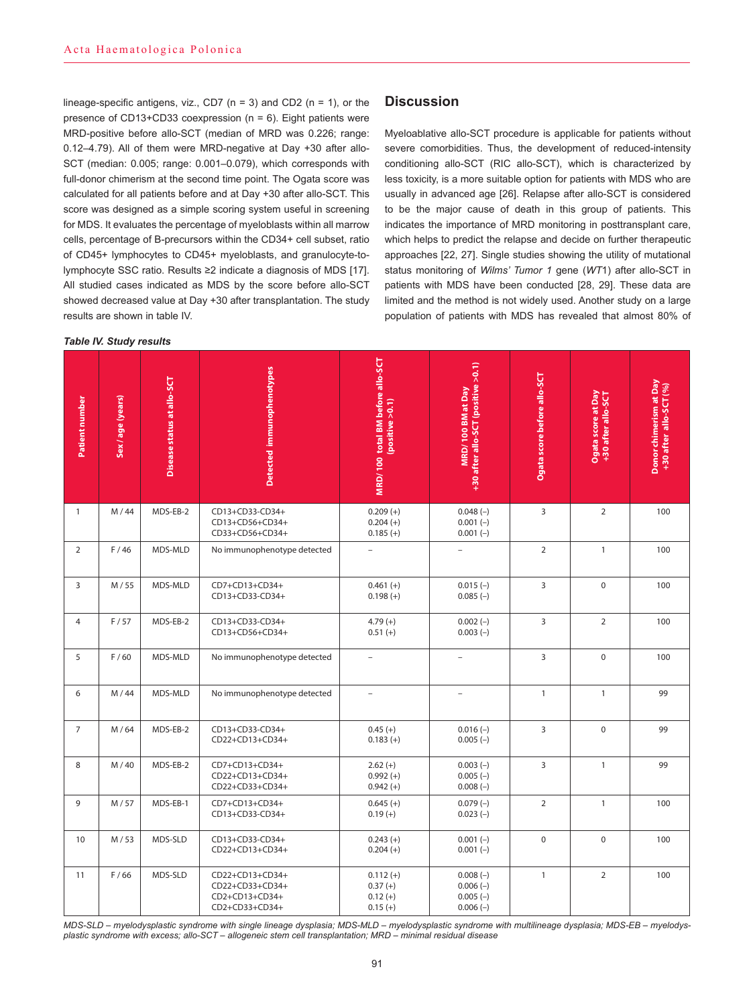lineage-specific antigens, viz., CD7 ( $n = 3$ ) and CD2 ( $n = 1$ ), or the presence of CD13+CD33 coexpression ( $n = 6$ ). Eight patients were MRD-positive before allo-SCT (median of MRD was 0.226; range: 0.12–4.79). All of them were MRD-negative at Day +30 after allo-SCT (median: 0.005; range: 0.001–0.079), which corresponds with full-donor chimerism at the second time point. The Ogata score was calculated for all patients before and at Day +30 after allo-SCT. This score was designed as a simple scoring system useful in screening for MDS. It evaluates the percentage of myeloblasts within all marrow cells, percentage of B-precursors within the CD34+ cell subset, ratio of CD45+ lymphocytes to CD45+ myeloblasts, and granulocyte-tolymphocyte SSC ratio. Results ≥2 indicate a diagnosis of MDS [17]. All studied cases indicated as MDS by the score before allo-SCT showed decreased value at Day +30 after transplantation. The study results are shown in table IV.

#### *Table IV. Study results*

## **Discussion**

Myeloablative allo-SCT procedure is applicable for patients without severe comorbidities. Thus, the development of reduced-intensity conditioning allo-SCT (RIC allo-SCT), which is characterized by less toxicity, is a more suitable option for patients with MDS who are usually in advanced age [26]. Relapse after allo-SCT is considered to be the major cause of death in this group of patients. This indicates the importance of MRD monitoring in posttransplant care, which helps to predict the relapse and decide on further therapeutic approaches [22, 27]. Single studies showing the utility of mutational status monitoring of *Wilms' Tumor 1* gene (*WT*1) after allo-SCT in patients with MDS have been conducted [28, 29]. These data are limited and the method is not widely used. Another study on a large population of patients with MDS has revealed that almost 80% of

| Patient number | Sex/age (years) | Disease status at allo-SCT | Detected immunophenotypes                                              | MRD/100 total BM before allo-SCT<br>(positive >0.1)  | +30 after allo-SCT (positive >0.1)<br>MRD/100 BM at Day | Ogata score before allo-SCT | Ogata score at Day<br>+30 after allo-SCT | Donor chimerism at Day<br>+30 after allo-SCT (%) |
|----------------|-----------------|----------------------------|------------------------------------------------------------------------|------------------------------------------------------|---------------------------------------------------------|-----------------------------|------------------------------------------|--------------------------------------------------|
| $\mathbf{1}$   | M/44            | MDS-EB-2                   | CD13+CD33-CD34+<br>CD13+CD56+CD34+<br>CD33+CD56+CD34+                  | $0.209 (+)$<br>$0.204 (+)$<br>$0.185 (+)$            | $0.048(-)$<br>$0.001(-)$<br>$0.001(-)$                  | 3                           | $\overline{2}$                           | 100                                              |
| $\overline{2}$ | F/46            | MDS-MLD                    | No immunophenotype detected                                            | $\overline{\phantom{a}}$                             | $\overline{\phantom{a}}$                                | $\overline{2}$              | $\mathbf{1}$                             | 100                                              |
| 3              | M/55            | MDS-MLD                    | CD7+CD13+CD34+<br>CD13+CD33-CD34+                                      | $0.461 (+)$<br>$0.198 (+)$                           | $0.015(-)$<br>$0.085(-)$                                | $\overline{3}$              | $\mathbf 0$                              | 100                                              |
| $\overline{4}$ | F/57            | MDS-EB-2                   | CD13+CD33-CD34+<br>CD13+CD56+CD34+                                     | $4.79(+)$<br>$0.51(+)$                               | $0.002(-)$<br>$0.003(-)$                                | $\overline{3}$              | $\overline{2}$                           | 100                                              |
| 5              | F/60            | MDS-MLD                    | No immunophenotype detected                                            | $\overline{\phantom{a}}$                             | $\overline{a}$                                          | 3                           | $\Omega$                                 | 100                                              |
| 6              | M/44            | MDS-MLD                    | No immunophenotype detected                                            | $\overline{\phantom{0}}$                             | $\overline{\phantom{0}}$                                | $\mathbf{1}$                | $\mathbf{1}$                             | 99                                               |
| $\overline{7}$ | M/64            | MDS-EB-2                   | CD13+CD33-CD34+<br>CD22+CD13+CD34+                                     | $0.45 (+)$<br>$0.183(+)$                             | $0.016(-)$<br>$0.005(-)$                                | $\overline{3}$              | $\mathbf 0$                              | 99                                               |
| 8              | M/40            | MDS-EB-2                   | CD7+CD13+CD34+<br>CD22+CD13+CD34+<br>CD22+CD33+CD34+                   | $2.62 (+)$<br>$0.992(+)$<br>$0.942 (+)$              | $0.003(-)$<br>$0.005(-)$<br>$0.008(-)$                  | 3                           | $\mathbf{1}$                             | 99                                               |
| 9              | M/57            | MDS-EB-1                   | CD7+CD13+CD34+<br>CD13+CD33-CD34+                                      | $0.645 (+)$<br>$0.19 (+)$                            | $0.079(-)$<br>$0.023(-)$                                | $\overline{2}$              | $\mathbf{1}$                             | 100                                              |
| 10             | M/53            | MDS-SLD                    | CD13+CD33-CD34+<br>CD22+CD13+CD34+                                     | $0.243(+)$<br>$0.204 (+)$                            | $0.001(-)$<br>$0.001(-)$                                | $\mathbf 0$                 | $\mathbf 0$                              | 100                                              |
| 11             | F/66            | MDS-SLD                    | CD22+CD13+CD34+<br>CD22+CD33+CD34+<br>CD2+CD13+CD34+<br>CD2+CD33+CD34+ | $0.112 (+)$<br>$0.37(+)$<br>$0.12 (+)$<br>$0.15 (+)$ | $0.008(-)$<br>$0.006(-)$<br>$0.005(-)$<br>$0.006(-)$    | $\mathbf{1}$                | $\overline{2}$                           | 100                                              |

*MDS-SLD – myelodysplastic syndrome with single lineage dysplasia; MDS-MLD – myelodysplastic syndrome with multilineage dysplasia; MDS-EB – myelodysplastic syndrome with excess; allo-SCT – allogeneic stem cell transplantation; MRD – minimal residual disease*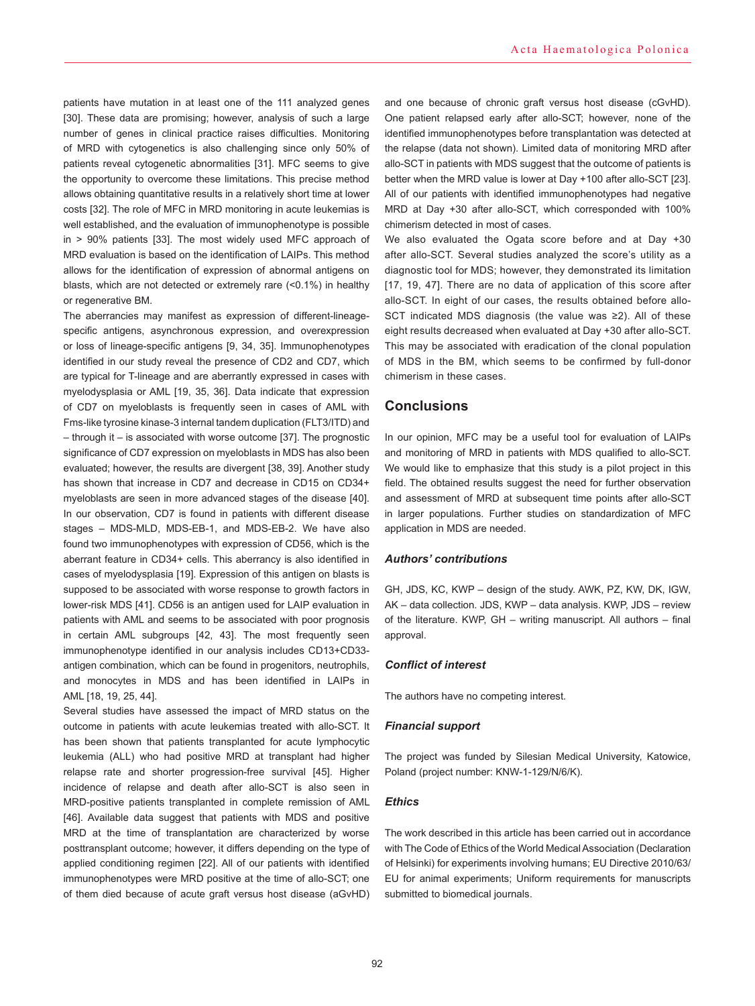patients have mutation in at least one of the 111 analyzed genes [30]. These data are promising; however, analysis of such a large number of genes in clinical practice raises difficulties. Monitoring of MRD with cytogenetics is also challenging since only 50% of patients reveal cytogenetic abnormalities [31]. MFC seems to give the opportunity to overcome these limitations. This precise method allows obtaining quantitative results in a relatively short time at lower costs [32]. The role of MFC in MRD monitoring in acute leukemias is well established, and the evaluation of immunophenotype is possible in > 90% patients [33]. The most widely used MFC approach of MRD evaluation is based on the identification of LAIPs. This method allows for the identification of expression of abnormal antigens on blasts, which are not detected or extremely rare (<0.1%) in healthy or regenerative BM.

The aberrancies may manifest as expression of different-lineagespecific antigens, asynchronous expression, and overexpression or loss of lineage-specific antigens [9, 34, 35]. Immunophenotypes identified in our study reveal the presence of CD2 and CD7, which are typical for T-lineage and are aberrantly expressed in cases with myelodysplasia or AML [19, 35, 36]. Data indicate that expression of CD7 on myeloblasts is frequently seen in cases of AML with Fms-like tyrosine kinase-3 internal tandem duplication (FLT3/ITD) and – through it – is associated with worse outcome [37]. The prognostic significance of CD7 expression on myeloblasts in MDS has also been evaluated; however, the results are divergent [38, 39]. Another study has shown that increase in CD7 and decrease in CD15 on CD34+ myeloblasts are seen in more advanced stages of the disease [40]. In our observation, CD7 is found in patients with different disease stages – MDS-MLD, MDS-EB-1, and MDS-EB-2. We have also found two immunophenotypes with expression of CD56, which is the aberrant feature in CD34+ cells. This aberrancy is also identified in cases of myelodysplasia [19]. Expression of this antigen on blasts is supposed to be associated with worse response to growth factors in lower-risk MDS [41]. CD56 is an antigen used for LAIP evaluation in patients with AML and seems to be associated with poor prognosis in certain AML subgroups [42, 43]. The most frequently seen immunophenotype identified in our analysis includes CD13+CD33 antigen combination, which can be found in progenitors, neutrophils, and monocytes in MDS and has been identified in LAIPs in AML [18, 19, 25, 44].

Several studies have assessed the impact of MRD status on the outcome in patients with acute leukemias treated with allo-SCT. It has been shown that patients transplanted for acute lymphocytic leukemia (ALL) who had positive MRD at transplant had higher relapse rate and shorter progression-free survival [45]. Higher incidence of relapse and death after allo-SCT is also seen in MRD-positive patients transplanted in complete remission of AML [46]. Available data suggest that patients with MDS and positive MRD at the time of transplantation are characterized by worse posttransplant outcome; however, it differs depending on the type of applied conditioning regimen [22]. All of our patients with identified immunophenotypes were MRD positive at the time of allo-SCT; one of them died because of acute graft versus host disease (aGvHD) and one because of chronic graft versus host disease (cGvHD). One patient relapsed early after allo-SCT; however, none of the identified immunophenotypes before transplantation was detected at the relapse (data not shown). Limited data of monitoring MRD after allo-SCT in patients with MDS suggest that the outcome of patients is better when the MRD value is lower at Day +100 after allo-SCT [23]. All of our patients with identified immunophenotypes had negative MRD at Day +30 after allo-SCT, which corresponded with 100% chimerism detected in most of cases.

We also evaluated the Ogata score before and at Day +30 after allo-SCT. Several studies analyzed the score's utility as a diagnostic tool for MDS; however, they demonstrated its limitation [17, 19, 47]. There are no data of application of this score after allo-SCT. In eight of our cases, the results obtained before allo-SCT indicated MDS diagnosis (the value was ≥2). All of these eight results decreased when evaluated at Day +30 after allo-SCT. This may be associated with eradication of the clonal population of MDS in the BM, which seems to be confirmed by full-donor chimerism in these cases.

## **Conclusions**

In our opinion, MFC may be a useful tool for evaluation of LAIPs and monitoring of MRD in patients with MDS qualified to allo-SCT. We would like to emphasize that this study is a pilot project in this field. The obtained results suggest the need for further observation and assessment of MRD at subsequent time points after allo-SCT in larger populations. Further studies on standardization of MFC application in MDS are needed.

#### *Authors' contributions*

GH, JDS, KC, KWP – design of the study. AWK, PZ, KW, DK, IGW, AK – data collection. JDS, KWP – data analysis. KWP, JDS – review of the literature. KWP, GH – writing manuscript. All authors – final approval.

#### *Conflict of interest*

The authors have no competing interest.

#### *Financial support*

The project was funded by Silesian Medical University, Katowice, Poland (project number: KNW-1-129/N/6/K).

#### *Ethics*

The work described in this article has been carried out in accordance with The Code of Ethics of the World Medical Association (Declaration of Helsinki) for experiments involving humans; EU Directive 2010/63/ EU for animal experiments; Uniform requirements for manuscripts submitted to biomedical journals.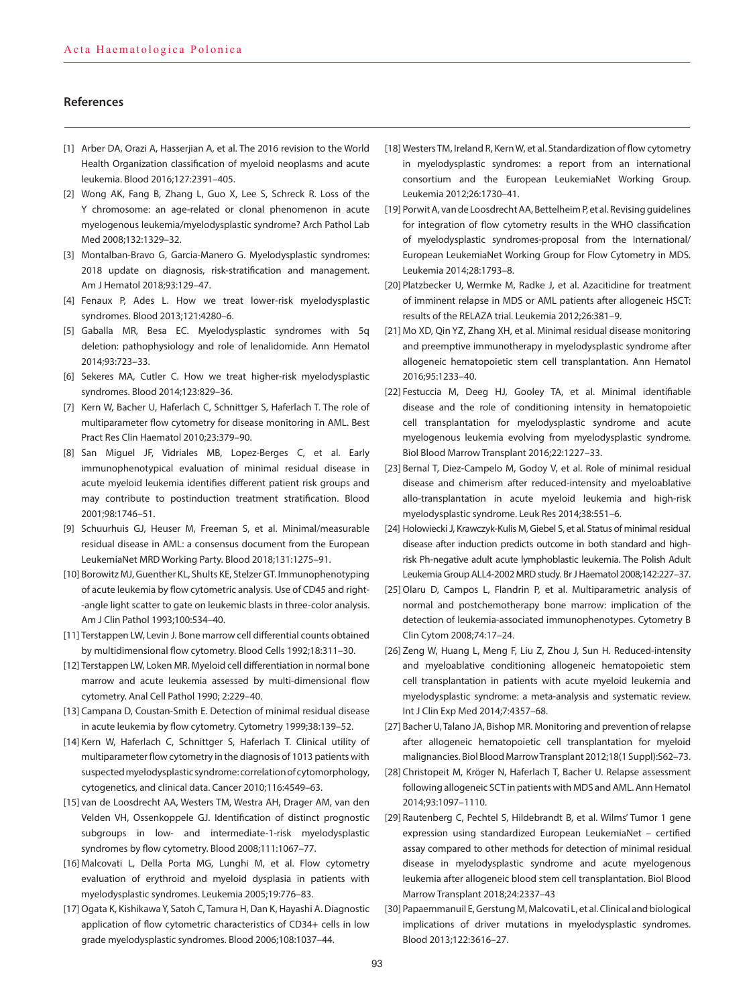## **References**

- [1] Arber DA, Orazi A, Hasserjian A, et al. The 2016 revision to the World Health Organization classification of myeloid neoplasms and acute leukemia. Blood 2016;127:2391–405.
- [2] Wong AK, Fang B, Zhang L, Guo X, Lee S, Schreck R. Loss of the Y chromosome: an age-related or clonal phenomenon in acute myelogenous leukemia/myelodysplastic syndrome? Arch Pathol Lab Med 2008;132:1329–32.
- [3] Montalban-Bravo G, Garcia-Manero G. Myelodysplastic syndromes: 2018 update on diagnosis, risk-stratification and management. Am J Hematol 2018;93:129–47.
- [4] Fenaux P, Ades L. How we treat lower-risk myelodysplastic syndromes. Blood 2013;121:4280–6.
- [5] Gaballa MR, Besa EC. Myelodysplastic syndromes with 5q deletion: pathophysiology and role of lenalidomide. Ann Hematol 2014;93:723–33.
- [6] Sekeres MA, Cutler C. How we treat higher-risk myelodysplastic syndromes. Blood 2014;123:829–36.
- [7] Kern W, Bacher U, Haferlach C, Schnittger S, Haferlach T. The role of multiparameter flow cytometry for disease monitoring in AML. Best Pract Res Clin Haematol 2010;23:379–90.
- [8] San Miguel JF, Vidriales MB, Lopez-Berges C, et al. Early immunophenotypical evaluation of minimal residual disease in acute myeloid leukemia identifies different patient risk groups and may contribute to postinduction treatment stratification. Blood 2001;98:1746–51.
- [9] Schuurhuis GJ, Heuser M, Freeman S, et al. Minimal/measurable residual disease in AML: a consensus document from the European LeukemiaNet MRD Working Party. Blood 2018;131:1275–91.
- [10] Borowitz MJ, Guenther KL, Shults KE, Stelzer GT. Immunophenotyping of acute leukemia by flow cytometric analysis. Use of CD45 and right- -angle light scatter to gate on leukemic blasts in three-color analysis. Am J Clin Pathol 1993;100:534–40.
- [11] Terstappen LW, Levin J. Bone marrow cell differential counts obtained by multidimensional flow cytometry. Blood Cells 1992;18:311–30.
- [12] Terstappen LW, Loken MR. Myeloid cell differentiation in normal bone marrow and acute leukemia assessed by multi-dimensional flow cytometry. Anal Cell Pathol 1990; 2:229–40.
- [13] Campana D, Coustan-Smith E. Detection of minimal residual disease in acute leukemia by flow cytometry. Cytometry 1999;38:139–52.
- [14] Kern W, Haferlach C, Schnittger S, Haferlach T. Clinical utility of multiparameter flow cytometry in the diagnosis of 1013 patients with suspected myelodysplastic syndrome: correlation of cytomorphology, cytogenetics, and clinical data. Cancer 2010;116:4549–63.
- [15] van de Loosdrecht AA, Westers TM, Westra AH, Drager AM, van den Velden VH, Ossenkoppele GJ. Identification of distinct prognostic subgroups in low- and intermediate-1-risk myelodysplastic syndromes by flow cytometry. Blood 2008;111:1067–77.
- [16] Malcovati L, Della Porta MG, Lunghi M, et al. Flow cytometry evaluation of erythroid and myeloid dysplasia in patients with myelodysplastic syndromes. Leukemia 2005;19:776–83.
- [17] Ogata K, Kishikawa Y, Satoh C, Tamura H, Dan K, Hayashi A. Diagnostic application of flow cytometric characteristics of CD34+ cells in low grade myelodysplastic syndromes. Blood 2006;108:1037–44.
- [18] Westers TM, Ireland R, Kern W, et al. Standardization of flow cytometry in myelodysplastic syndromes: a report from an international consortium and the European LeukemiaNet Working Group. Leukemia 2012;26:1730–41.
- [19] Porwit A, van de Loosdrecht AA, Bettelheim P, et al. Revising guidelines for integration of flow cytometry results in the WHO classification of myelodysplastic syndromes-proposal from the International/ European LeukemiaNet Working Group for Flow Cytometry in MDS. Leukemia 2014;28:1793–8.
- [20] Platzbecker U, Wermke M, Radke J, et al. Azacitidine for treatment of imminent relapse in MDS or AML patients after allogeneic HSCT: results of the RELAZA trial. Leukemia 2012;26:381–9.
- [21] Mo XD, Qin YZ, Zhang XH, et al. Minimal residual disease monitoring and preemptive immunotherapy in myelodysplastic syndrome after allogeneic hematopoietic stem cell transplantation. Ann Hematol 2016;95:1233–40.
- [22] Festuccia M, Deeg HJ, Gooley TA, et al. Minimal identifiable disease and the role of conditioning intensity in hematopoietic cell transplantation for myelodysplastic syndrome and acute myelogenous leukemia evolving from myelodysplastic syndrome. Biol Blood Marrow Transplant 2016;22:1227–33.
- [23] Bernal T, Diez-Campelo M, Godoy V, et al. Role of minimal residual disease and chimerism after reduced-intensity and myeloablative allo-transplantation in acute myeloid leukemia and high-risk myelodysplastic syndrome. Leuk Res 2014;38:551–6.
- [24] Holowiecki J, Krawczyk-Kulis M, Giebel S, et al. Status of minimal residual disease after induction predicts outcome in both standard and highrisk Ph-negative adult acute lymphoblastic leukemia. The Polish Adult Leukemia Group ALL4-2002 MRD study. Br J Haematol 2008;142:227–37.
- [25] Olaru D, Campos L, Flandrin P, et al. Multiparametric analysis of normal and postchemotherapy bone marrow: implication of the detection of leukemia-associated immunophenotypes. Cytometry B Clin Cytom 2008;74:17–24.
- [26] Zeng W, Huang L, Meng F, Liu Z, Zhou J, Sun H. Reduced-intensity and myeloablative conditioning allogeneic hematopoietic stem cell transplantation in patients with acute myeloid leukemia and myelodysplastic syndrome: a meta-analysis and systematic review. Int J Clin Exp Med 2014;7:4357–68.
- [27] Bacher U, Talano JA, Bishop MR. Monitoring and prevention of relapse after allogeneic hematopoietic cell transplantation for myeloid malignancies. Biol Blood Marrow Transplant 2012;18(1 Suppl):S62–73.
- [28] Christopeit M, Kröger N, Haferlach T, Bacher U. Relapse assessment following allogeneic SCT in patients with MDS and AML. Ann Hematol 2014;93:1097–1110.
- [29] Rautenberg C, Pechtel S, Hildebrandt B, et al. Wilms' Tumor 1 gene expression using standardized European LeukemiaNet – certified assay compared to other methods for detection of minimal residual disease in myelodysplastic syndrome and acute myelogenous leukemia after allogeneic blood stem cell transplantation. Biol Blood Marrow Transplant 2018;24:2337–43
- [30] Papaemmanuil E, Gerstung M, Malcovati L, et al. Clinical and biological implications of driver mutations in myelodysplastic syndromes. Blood 2013;122:3616–27.